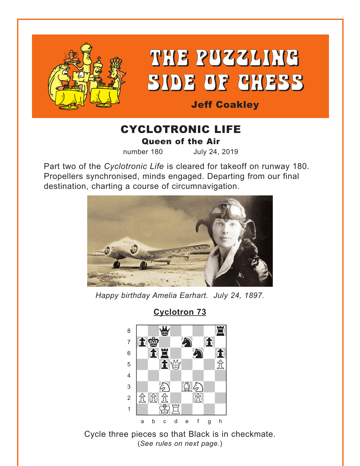<span id="page-0-0"></span>

# CYCLOTRONIC LIFE Queen of the Air

number 180 July 24, 2019

Part two of the *Cyclotronic Life* is cleared for takeoff on runway 180. Propellers synchronised, minds engaged. Departing from our final destination, charting a course of circumnavigation.



*Happy birthday Amelia Earhart. July 24, 1897.*



**[Cyclotron 73](#page-6-0)**

Cycle three pieces so that Black is in checkmate. (*See rules on next page.*)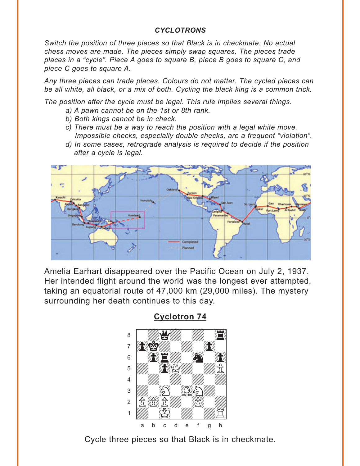#### *CYCLOTRONS*

<span id="page-1-0"></span>*Switch the position of three pieces so that Black is in checkmate. No actual chess moves are made. The pieces simply swap squares. The pieces trade places in a "cycle". Piece A goes to square B, piece B goes to square C, and piece C goes to square A.* 

*Any three pieces can trade places. Colours do not matter. The cycled pieces can be all white, all black, or a mix of both. Cycling the black king is a common trick.* 

*The position after the cycle must be legal. This rule implies several things.* 

- *a) A pawn cannot be on the 1st or 8th rank.*
- *b) Both kings cannot be in check.*
- *c) There must be a way to reach the position with a legal white move. Impossible checks, especially double checks, are a frequent "violation".*
- *d) In some cases, retrograde analysis is required to decide if the position after a cycle is legal.*



Amelia Earhart disappeared over the Pacific Ocean on July 2, 1937. Her intended flight around the world was the longest ever attempted, taking an equatorial route of 47,000 km (29,000 miles). The mystery surrounding her death continues to this day.



**Cyclotron 74**

Cycle three pieces so that Black is in checkmate.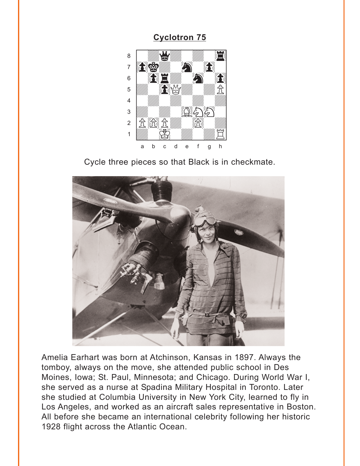<span id="page-2-0"></span>

Cycle three pieces so that Black is in checkmate.



Amelia Earhart was born at Atchinson, Kansas in 1897. Always the tomboy, always on the move, she attended public school in Des Moines, Iowa; St. Paul, Minnesota; and Chicago. During World War I, she served as a nurse at Spadina Military Hospital in Toronto. Later she studied at Columbia University in New York City, learned to fly in Los Angeles, and worked as an aircraft sales representative in Boston. All before she became an international celebrity following her historic 1928 flight across the Atlantic Ocean.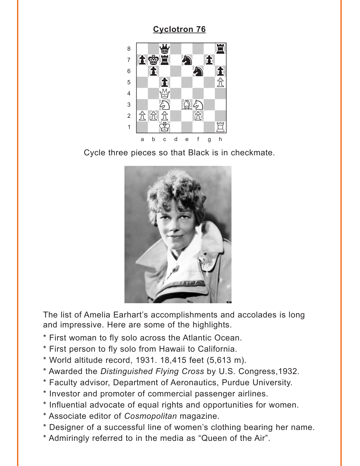<span id="page-3-0"></span>

Cycle three pieces so that Black is in checkmate.



The list of Amelia Earhart's accomplishments and accolades is long and impressive. Here are some of the highlights.

- \* First woman to fly solo across the Atlantic Ocean.
- \* First person to fly solo from Hawaii to California.
- \* World altitude record, 1931. 18,415 feet (5,613 m).
- \* Awarded the Distinguished Flying Cross by U.S. Congress, 1932.
- \* Faculty advisor, Department of Aeronautics, Purdue University.
- \* Investor and promoter of commercial passenger airlines.
- \* Influential advocate of equal rights and opportunities for women.
- \* Associate editor of Cosmopolitan magazine.
- \* Designer of a successful line of women's clothing bearing her name.
- \* Admiringly referred to in the media as "Queen of the Air".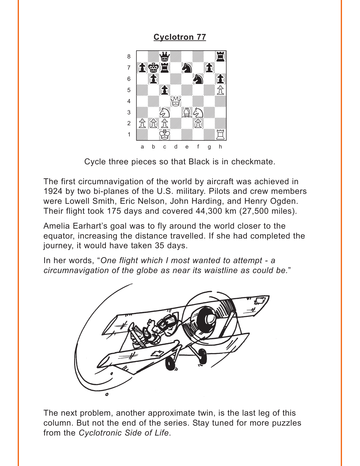<span id="page-4-0"></span>

Cycle three pieces so that Black is in checkmate.

The first circumnavigation of the world by aircraft was achieved in 1924 by two bi-planes of the U.S. military. Pilots and crew members were Lowell Smith, Eric Nelson, John Harding, and Henry Ogden. Their flight took 175 days and covered 44,300 km (27,500 miles).

Amelia Earhart's goal was to fly around the world closer to the equator, increasing the distance travelled. If she had completed the journey, it would have taken 35 days.

In her words, "One flight which I most wanted to attempt - a circumnavigation of the globe as near its waistline as could be."



The next problem, another approximate twin, is the last leg of this column. But not the end of the series. Stay tuned for more puzzles from the Cyclotronic Side of Life.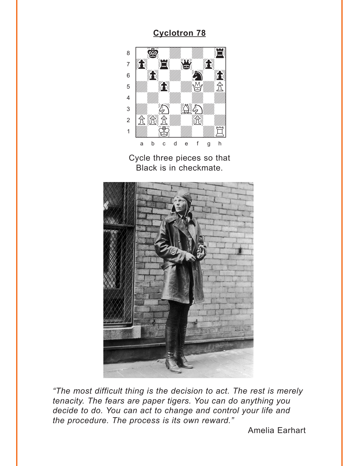<span id="page-5-0"></span>

Cycle three pieces so that Black is in checkmate.



"The most difficult thing is the decision to act. The rest is merely tenacity. The fears are paper tigers. You can do anything you decide to do. You can act to change and control your life and the procedure. The process is its own reward."

**Amelia Earhart**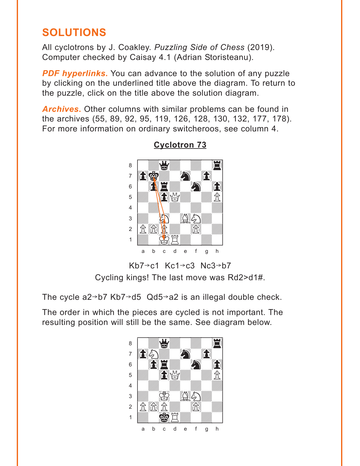# <span id="page-6-0"></span>**SOLUTIONS**

All cyclotrons by J. Coakley. *Puzzling Side of Chess* (2019). Computer checked by Caisay 4.1 (Adrian Storisteanu).

**PDF hyperlinks.** You can advance to the solution of any puzzle by clicking on the underlined title above the diagram. To return to the puzzle, click on the title above the solution diagram.

*Archives***.** Other columns with similar problems can be found in the archives (55, 89, 92, 95, 119, 126, 128, 130, 132, 177, 178). For more information on ordinary switcheroos, see column 4.



### **[Cyclotron 73](#page-0-0)**

Kb7 $\rightarrow$ c1 Kc1 $\rightarrow$ c3 Nc3 $\rightarrow$ b7 Cycling kings! The last move was Rd2>d1#.

The cycle  $a2 \rightarrow b7 Kb7 \rightarrow d5 Qd5 \rightarrow a2$  is an illegal double check.

The order in which the pieces are cycled is not important. The resulting position will still be the same. See diagram below.

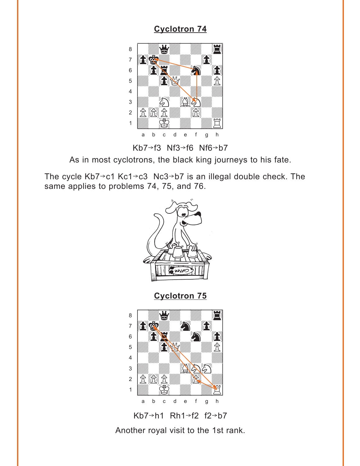<span id="page-7-0"></span>

Kb7 $\rightarrow$ f3 Nf3 $\rightarrow$ f6 Nf6 $\rightarrow$ b7

As in most cyclotrons, the black king journeys to his fate.

The cycle Kb7 $\rightarrow$ c1 Kc1 $\rightarrow$ c3 Nc3 $\rightarrow$ b7 is an illegal double check. The same applies to problems 74, 75, and 76.



Kb7 $\rightarrow$ h1 Rh1 $\rightarrow$ f2 f2 $\rightarrow$ b7

Another royal visit to the 1st rank.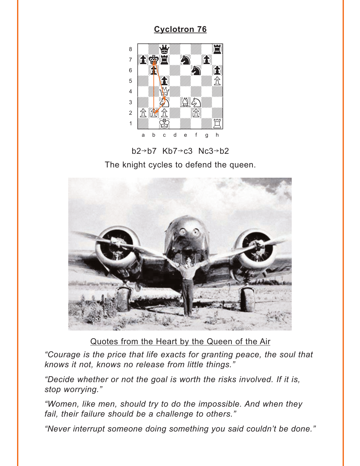<span id="page-8-0"></span>

 $b2 \rightarrow b7$  Kb7 $\rightarrow c3$  Nc3 $\rightarrow b2$ 

The knight cycles to defend the queen.



Quotes from the Heart by the Queen of the Air

"Courage is the price that life exacts for granting peace, the soul that knows it not, knows no release from little things."

"Decide whether or not the goal is worth the risks involved. If it is, stop worrying."

"Women, like men, should try to do the impossible. And when they fail, their failure should be a challenge to others."

"Never interrupt someone doing something you said couldn't be done."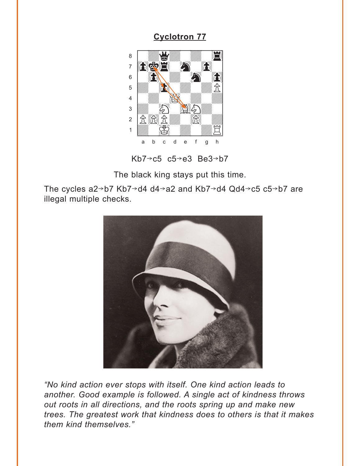<span id="page-9-0"></span>

Kb7 $\rightarrow$ c5 c5 $\rightarrow$ e3 Be3 $\rightarrow$ b7

The black king stays put this time.

The cycles  $a2 \rightarrow b7 Kb7 \rightarrow d4 d4 \rightarrow a2$  and  $Kb7 \rightarrow d4 Qd4 \rightarrow c5 c5 \rightarrow b7$  are illegal multiple checks.



"No kind action ever stops with itself. One kind action leads to another. Good example is followed. A single act of kindness throws out roots in all directions, and the roots spring up and make new trees. The greatest work that kindness does to others is that it makes them kind themselves."